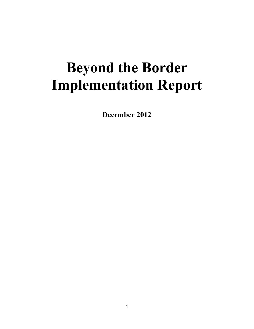# **Beyond the Border Implementation Report**

**December 2012**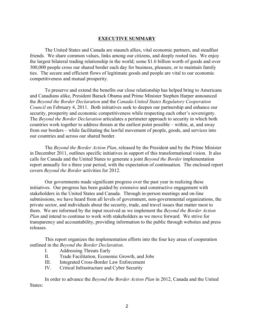### **EXECUTIVE SUMMARY**

The United States and Canada are staunch allies, vital economic partners, and steadfast friends. We share common values, links among our citizens, and deeply rooted ties. We enjoy the largest bilateral trading relationship in the world; some \$1.6 billion worth of goods and over 300,000 people cross our shared border each day for business, pleasure, or to maintain family ties. The secure and efficient flows of legitimate goods and people are vital to our economic competitiveness and mutual prosperity.

To preserve and extend the benefits our close relationship has helped bring to Americans and Canadians alike, President Barack Obama and Prime Minister Stephen Harper announced the *Beyond the Border Declaration* and the *Canada-United States Regulatory Cooperation Council* on February 4, 2011. Both initiatives seek to deepen our partnership and enhance our security, prosperity and economic competitiveness while respecting each other's sovereignty. The *Beyond the Border Declaration* articulates a perimeter approach to security in which both countries work together to address threats at the earliest point possible – within, at, and away from our borders – while facilitating the lawful movement of people, goods, and services into our countries and across our shared border.

The *Beyond the Border Action Plan*, released by the President and by the Prime Minister in December 2011, outlines specific initiatives in support of this transformational vision. It also calls for Canada and the United States to generate a joint *Beyond the Border* implementation report annually for a three year period, with the expectation of continuation. The enclosed report covers *Beyond the Border* activities for 2012.

Our governments made significant progress over the past year in realizing these initiatives. Our progress has been guided by extensive and constructive engagement with stakeholders in the United States and Canada. Through in-person meetings and on-line submissions, we have heard from all levels of government, non-governmental organizations, the private sector, and individuals about the security, trade, and travel issues that matter most to them. We are informed by the input received as we implement the *Beyond the Border Action Plan* and intend to continue to work with stakeholders as we move forward. We strive for transparency and accountability, providing information to the public through websites and press releases.

This report organizes the implementation efforts into the four key areas of cooperation outlined in the *Beyond the Border Declaration*.

- I. Addressing Threats Early
- II. Trade Facilitation, Economic Growth, and Jobs
- III. Integrated Cross-Border Law Enforcement
- IV. Critical Infrastructure and Cyber Security

In order to advance the *Beyond the Border Action Plan* in 2012, Canada and the United States: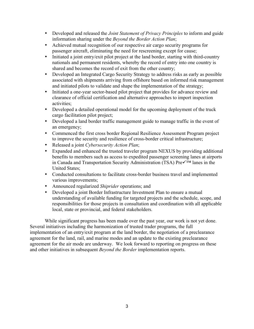- Developed and released the *Joint Statement of Privacy Principles* to inform and guide information sharing under the *Beyond the Border Action Plan*;
- Achieved mutual recognition of our respective air cargo security programs for passenger aircraft, eliminating the need for rescreening except for cause;
- Initiated a joint entry/exit pilot project at the land border, starting with third-country nationals and permanent residents, whereby the record of entry into one country is shared and becomes the record of exit from the other country;
- Developed an Integrated Cargo Security Strategy to address risks as early as possible associated with shipments arriving from offshore based on informed risk management and initiated pilots to validate and shape the implementation of the strategy;
- Initiated a one-year sector-based pilot project that provides for advance review and clearance of official certification and alternative approaches to import inspection activities;
- Developed a detailed operational model for the upcoming deployment of the truck cargo facilitation pilot project;
- Developed a land border traffic management guide to manage traffic in the event of an emergency;
- Commenced the first cross border Regional Resilience Assessment Program project to improve the security and resilience of cross-border critical infrastructure;
- Released a joint *Cybersecurity Action Plan*;
- Expanded and enhanced the trusted traveler program NEXUS by providing additional benefits to members such as access to expedited passenger screening lanes at airports in Canada and Transportation Security Administration (TSA)  $Pre\checkmark^{\text{TM}}$  lanes in the United States;
- Conducted consultations to facilitate cross-border business travel and implemented various improvements;
- Announced regularized *Shiprider* operations; and
- Developed a joint Border Infrastructure Investment Plan to ensure a mutual understanding of available funding for targeted projects and the schedule, scope, and responsibilities for those projects in consultation and coordination with all applicable local, state or provincial, and federal stakeholders.

While significant progress has been made over the past year, our work is not yet done. Several initiatives including the harmonization of trusted trader programs, the full implementation of an entry/exit program at the land border, the negotiation of a preclearance agreement for the land, rail, and marine modes and an update to the existing preclearance agreement for the air mode are underway. We look forward to reporting on progress on these and other initiatives in subsequent *Beyond the Border* implementation reports.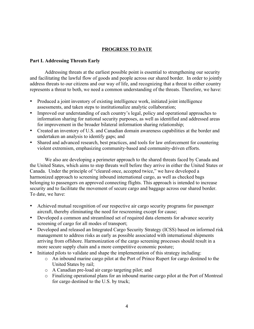# **PROGRESS TO DATE**

## **Part I. Addressing Threats Early**

Addressing threats at the earliest possible point is essential to strengthening our security and facilitating the lawful flow of goods and people across our shared border. In order to jointly address threats to our citizens and our way of life, and recognizing that a threat to either country represents a threat to both, we need a common understanding of the threats. Therefore, we have:

- Produced a joint inventory of existing intelligence work, initiated joint intelligence assessments, and taken steps to institutionalize analytic collaboration;
- Improved our understanding of each country's legal, policy and operational approaches to information sharing for national security purposes, as well as identified and addressed areas for improvement in the broader bilateral information sharing relationship;
- Created an inventory of U.S. and Canadian domain awareness capabilities at the border and undertaken an analysis to identify gaps; and
- Shared and advanced research, best practices, and tools for law enforcement for countering violent extremism, emphasizing community-based and community-driven efforts.

We also are developing a perimeter approach to the shared threats faced by Canada and the United States, which aims to stop threats well before they arrive in either the United States or Canada. Under the principle of "cleared once, accepted twice," we have developed a harmonized approach to screening inbound international cargo, as well as checked bags belonging to passengers on approved connecting flights. This approach is intended to increase security and to facilitate the movement of secure cargo and baggage across our shared border. To date, we have:

- Achieved mutual recognition of our respective air cargo security programs for passenger aircraft, thereby eliminating the need for rescreening except for cause;
- Developed a common and streamlined set of required data elements for advance security screening of cargo for all modes of transport;
- Developed and released an Integrated Cargo Security Strategy (ICSS) based on informed risk management to address risks as early as possible associated with international shipments arriving from offshore. Harmonization of the cargo screening processes should result in a more secure supply chain and a more competitive economic posture;
- Initiated pilots to validate and shape the implementation of this strategy including:
	- o An inbound marine cargo pilot at the Port of Prince Rupert for cargo destined to the United States by rail;
	- o A Canadian pre-load air cargo targeting pilot; and
	- o Finalizing operational plans for an inbound marine cargo pilot at the Port of Montreal for cargo destined to the U.S. by truck;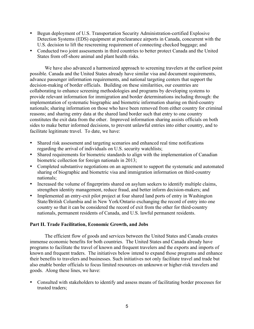- Begun deployment of U.S. Transportation Security Administration-certified Explosive Detection Systems (EDS) equipment at preclearance airports in Canada, concurrent with the U.S. decision to lift the rescreening requirement of connecting checked baggage; and
- Conducted two joint assessments in third countries to better protect Canada and the United States from off-shore animal and plant health risks.

We have also advanced a harmonized approach to screening travelers at the earliest point possible. Canada and the United States already have similar visa and document requirements, advance passenger information requirements, and national targeting centers that support the decision-making of border officials. Building on these similarities, our countries are collaborating to enhance screening methodologies and programs by developing systems to provide relevant information for immigration and border determinations including through: the implementation of systematic biographic and biometric information sharing on third-country nationals; sharing information on those who have been removed from either country for criminal reasons; and sharing entry data at the shared land border such that entry to one country constitutes the exit data from the other. Improved information sharing assists officials on both sides to make better informed decisions, to prevent unlawful entries into either country, and to facilitate legitimate travel. To date, we have:

- Shared risk assessment and targeting scenarios and enhanced real time notifications regarding the arrival of individuals on U.S. security watchlists;
- Shared requirements for biometric standards to align with the implementation of Canadian biometric collection for foreign nationals in 2013;
- Completed substantive negotiations on an agreement to support the systematic and automated sharing of biographic and biometric visa and immigration information on third-country nationals;
- Increased the volume of fingerprints shared on asylum seekers to identify multiple claims, strengthen identity management, reduce fraud, and better inform decision-makers; and
- Implemented an entry-exit pilot project at four shared land ports of entry in Washington State/British Columbia and in New York/Ontario exchanging the record of entry into one country so that it can be considered the record of exit from the other for third-country nationals, permanent residents of Canada, and U.S. lawful permanent residents.

### **Part II. Trade Facilitation, Economic Growth, and Jobs**

The efficient flow of goods and services between the United States and Canada creates immense economic benefits for both countries. The United States and Canada already have programs to facilitate the travel of known and frequent travelers and the exports and imports of known and frequent traders. The initiatives below intend to expand those programs and enhance their benefits to travelers and businesses. Such initiatives not only facilitate travel and trade but also enable border officials to focus limited resources on unknown or higher-risk travelers and goods. Along these lines, we have:

• Consulted with stakeholders to identify and assess means of facilitating border processes for trusted traders;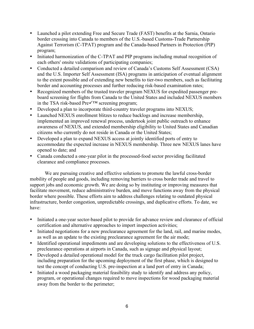- Launched a pilot extending Free and Secure Trade (FAST) benefits at the Sarnia, Ontario border crossing into Canada to members of the U.S.-based Customs-Trade Partnership Against Terrorism (C-TPAT) program and the Canada-based Partners in Protection (PIP) program;
- Initiated harmonization of the C-TPAT and PIP programs including mutual recognition of each others' onsite validations of participating companies;
- Conducted a detailed comparison and review of Canada's Customs Self Assessment (CSA) and the U.S. Importer Self Assessment (ISA) programs in anticipation of eventual alignment to the extent possible and of extending new benefits to tier-two members, such as facilitating border and accounting processes and further reducing risk-based examination rates;
- Recognized members of the trusted traveler program NEXUS for expedited passenger preboard screening for flights from Canada to the United States and included NEXUS members in the TSA risk-based  $\overline{Pre} \checkmark$ <sup>TM</sup> screening program;
- Developed a plan to incorporate third-country traveler programs into NEXUS;
- Launched NEXUS enrollment blitzes to reduce backlogs and increase membership, implemented an improved renewal process, undertook joint public outreach to enhance awareness of NEXUS, and extended membership eligibility to United States and Canadian citizens who currently do not reside in Canada or the United States;
- Developed a plan to expand NEXUS access at jointly identified ports of entry to accommodate the expected increase in NEXUS membership. Three new NEXUS lanes have opened to date; and
- Canada conducted a one-year pilot in the processed-food sector providing facilitated clearance and compliance processes.

We are pursuing creative and effective solutions to promote the lawful cross-border mobility of people and goods, including removing barriers to cross border trade and travel to support jobs and economic growth. We are doing so by instituting or improving measures that facilitate movement, reduce administrative burden, and move functions away from the physical border where possible. These efforts aim to address challenges relating to outdated physical infrastructure, border congestion, unpredictable crossings, and duplicative efforts. To date, we have:

- Initiated a one-year sector-based pilot to provide for advance review and clearance of official certification and alternative approaches to import inspection activities;
- Initiated negotiations for a new preclearance agreement for the land, rail, and marine modes, as well as an update to the existing preclearance agreement for the air mode;
- Identified operational impediments and are developing solutions to the effectiveness of U.S. preclearance operations at airports in Canada, such as signage and physical layout;
- Developed a detailed operational model for the truck cargo facilitation pilot project, including preparation for the upcoming deployment of the first phase, which is designed to test the concept of conducting U.S. pre-inspection at a land port of entry in Canada;
- Initiated a wood packaging material feasibility study to identify and address any policy, program, or operational changes required to move inspections for wood packaging material away from the border to the perimeter;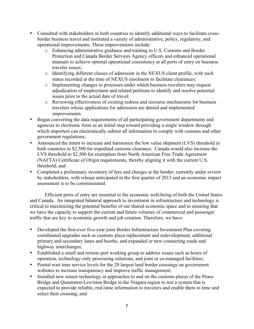- Consulted with stakeholders in both countries to identify additional ways to facilitate crossborder business travel and instituted a variety of administrative, policy, regulatory, and operational improvements. These improvements include:
	- o Enhancing administrative guidance and training to U.S. Customs and Border Protection and Canada Border Services Agency officers and enhanced operational manuals to achieve optimal operational consistency at all ports of entry on business traveler issues;
	- o Identifying different classes of admission in the NEXUS client profile, with such status recorded at the time of NEXUS enrolment to facilitate clearances;
	- o Implementing changes to processes under which business travelers may request adjudication of employment and related petitions to identify and resolve potential issues prior to the actual date of travel;
	- o Reviewing effectiveness of existing redress and recourse mechanisms for business travelers whose applications for admission are denied and implemented improvements.
- Began converting the data requirements of all participating government departments and agencies to electronic form as an initial step toward providing a single window through which importers can electronically submit all information to comply with customs and other government regulations;
- Announced the intent to increase and harmonize the low value shipment (LVS) threshold in both countries to \$2,500 for expedited customs clearance. Canada would also increase the LVS threshold to \$2,500 for exemption from North American Free Trade Agreement (NAFTA) Certificate of Origin requirements, thereby aligning it with the current U.S. threshold; and
- Completed a preliminary inventory of fees and charges at the border, currently under review by stakeholders, with release anticipated in the first quarter of 2013 and an economic impact assessment is to be commissioned.

Efficient ports of entry are essential to the economic well-being of both the United States and Canada. An integrated bilateral approach to investment in infrastructure and technology is critical to maximizing the potential benefits of our shared economic space and to ensuring that we have the capacity to support the current and future volumes of commercial and passenger traffic that are key to economic growth and job creation. Therefore, we have:

- Developed the first-ever five-year joint Border Infrastructure Investment Plan covering coordinated upgrades such as customs plaza replacement and redevelopment, additional primary and secondary lanes and booths, and expanded or new connecting roads and highway interchanges;
- Established a small and remote port working group to address issues such as hours of operation, technology-only processing solutions, and joint or co-managed facilities;
- Posted wait time service levels for the 20 largest land border crossings on government websites to increase transparency and improve traffic management;
- Installed new sensor technology at approaches to and on the customs plazas of the Peace Bridge and Queenston-Lewiston Bridge in the Niagara region to test a system that is expected to provide reliable, real-time information to travelers and enable them to time and select their crossing; and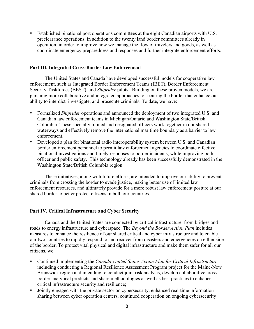• Established binational port operations committees at the eight Canadian airports with U.S. preclearance operations, in addition to the twenty land border committees already in operation, in order to improve how we manage the flow of travelers and goods, as well as coordinate emergency preparedness and responses and further integrate enforcement efforts.

#### **Part III. Integrated Cross-Border Law Enforcement**

The United States and Canada have developed successful models for cooperative law enforcement, such as Integrated Border Enforcement Teams (IBET), Border Enforcement Security Taskforces (BEST), and *Shiprider* pilots. Building on these proven models, we are pursuing more collaborative and integrated approaches to securing the border that enhance our ability to interdict, investigate, and prosecute criminals. To date, we have:

- Formalized *Shiprider* operations and announced the deployment of two integrated U.S. and Canadian law enforcement teams in Michigan/Ontario and Washington State/British Columbia. These specially trained and designated officers work together in our shared waterways and effectively remove the international maritime boundary as a barrier to law enforcement.
- Developed a plan for binational radio interoperability system between U.S. and Canadian border enforcement personnel to permit law enforcement agencies to coordinate effective binational investigations and timely responses to border incidents, while improving both officer and public safety. This technology already has been successfully demonstrated in the Washington State/British Columbia region.

These initiatives, along with future efforts, are intended to improve our ability to prevent criminals from crossing the border to evade justice, making better use of limited law enforcement resources, and ultimately provide for a more robust law enforcement posture at our shared border to better protect citizens in both our countries.

### **Part IV. Critical Infrastructure and Cyber Security**

Canada and the United States are connected by critical infrastructure, from bridges and roads to energy infrastructure and cyberspace. The *Beyond the Border Action Plan* includes measures to enhance the resilience of our shared critical and cyber infrastructure and to enable our two countries to rapidly respond to and recover from disasters and emergencies on either side of the border. To protect vital physical and digital infrastructure and make them safer for all our citizens, we:

- Continued implementing the *Canada-United States Action Plan for Critical Infrastructure*, including conducting a Regional Resilience Assessment Program project for the Maine-New Brunswick region and intending to conduct joint risk analysis, develop collaborative crossborder analytical products and share methodologies as well as best practices to enhance critical infrastructure security and resilience;
- Jointly engaged with the private sector on cybersecurity, enhanced real-time information sharing between cyber operation centers, continued cooperation on ongoing cybersecurity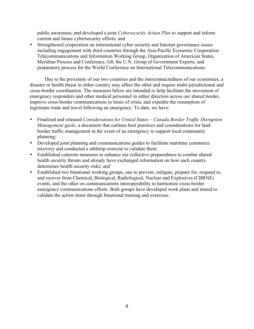public awareness, and developed a joint *Cybersecurity Action Plan* to support and inform current and future cybersecurity efforts; and

• Strengthened cooperation on international cyber security and Internet governance issues including engagement with third countries through the Asia-Pacific Economic Cooperation Telecommunications and Information Working Group, Organization of American States, Meridian Process and Conference, G8, the U.N. Group of Government Experts, and preparatory process for the World Conference on International Telecommunications.

Due to the proximity of our two countries and the interconnectedness of our economies, a disaster or health threat in either country may affect the other and require multi-jurisdictional and cross-border coordination. The measures below are intended to help facilitate the movement of emergency responders and other medical personnel in either direction across our shared border, improve cross-border communications in times of crisis, and expedite the resumption of legitimate trade and travel following an emergency. To date, we have:

- Finalized and released *Considerations for United States – Canada Border Traffic Disruption Management* guide, a document that outlines best practices and considerations for land border traffic management in the event of an emergency to support local community planning;
- Developed joint planning and communications guides to facilitate maritime commerce recovery and conducted a tabletop exercise to validate them;
- Established concrete measures to enhance our collective preparedness to combat shared health security threats and already have exchanged information on how each country determines health security risks; and
- Established two binational working groups, one to prevent, mitigate, prepare for, respond to, and recover from Chemical, Biological, Radiological, Nuclear and Explosives (CBRNE) events, and the other on communications interoperability to harmonize cross-border emergency communications efforts. Both groups have developed work plans and intend to validate the action items through binational training and exercises.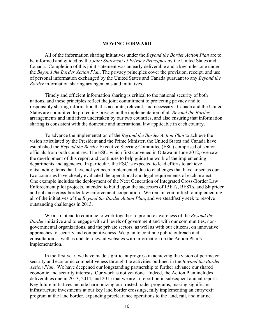#### **MOVING FORWARD**

All of the information sharing initiatives under the *Beyond the Border Action Plan* are to be informed and guided by the *Joint Statement of Privacy Principles* by the United States and Canada. Completion of this joint statement was an early deliverable and a key milestone under the *Beyond the Border Action Plan*. The privacy principles cover the provision, receipt, and use of personal information exchanged by the United States and Canada pursuant to any *Beyond the Border* information sharing arrangements and initiatives.

Timely and efficient information sharing is critical to the national security of both nations, and these principles reflect the joint commitment to protecting privacy and to responsibly sharing information that is accurate, relevant, and necessary. Canada and the United States are committed to protecting privacy in the implementation of all *Beyond the Border* arrangements and initiatives undertaken by our two countries, and also ensuring that information sharing is consistent with the domestic and international law applicable in each country.

To advance the implementation of the *Beyond the Border Action Plan* to achieve the vision articulated by the President and the Prime Minister, the United States and Canada have established the *Beyond the Border* Executive Steering Committee (ESC) comprised of senior officials from both countries. The ESC, which first convened in Ottawa in June 2012, oversaw the development of this report and continues to help guide the work of the implementing departments and agencies. In particular, the ESC is expected to lead efforts to achieve outstanding items that have not yet been implemented due to challenges that have arisen as our two countries have closely evaluated the operational and legal requirements of each project. One example includes the deployment of the Next Generation of Integrated Cross-Border Law Enforcement pilot projects, intended to build upon the successes of IBETs, BESTs, and Shiprider and enhance cross-border law enforcement cooperation. We remain committed to implementing all of the initiatives of the *Beyond the Border Action Plan*, and we steadfastly seek to resolve outstanding challenges in 2013.

We also intend to continue to work together to promote awareness of the *Beyond the Border* initiative and to engage with all levels of government and with our communities, nongovernmental organizations, and the private sectors, as well as with our citizens, on innovative approaches to security and competitiveness. We plan to continue public outreach and consultation as well as update relevant websites with information on the Action Plan's implementation.

In the first year, we have made significant progress in achieving the vision of perimeter security and economic competitiveness through the activities outlined in the *Beyond the Border Action Plan*. We have deepened our longstanding partnership to further advance our shared economic and security interests. Our work is not yet done. Indeed, the Action Plan includes deliverables due in 2013, 2014, and 2015 that we are to report on in subsequent annual reports. Key future initiatives include harmonizing our trusted trader programs, making significant infrastructure investments at our key land border crossings, fully implementing an entry/exit program at the land border, expanding preclearance operations to the land, rail, and marine